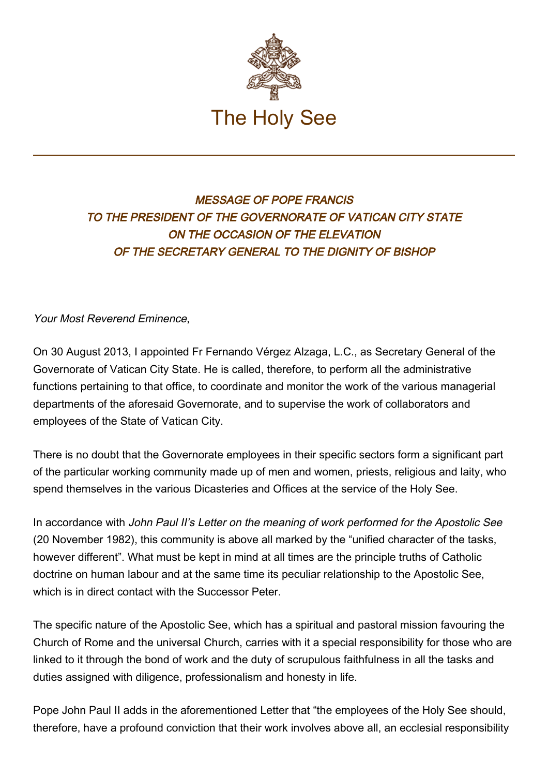

## MESSAGE OF POPE FRANCIS TO THE PRESIDENT OF THE GOVERNORATE OF VATICAN CITY STATE ON THE OCCASION OF THE ELEVATION OF THE SECRETARY GENERAL TO THE DIGNITY OF BISHOP

## Your Most Reverend Eminence,

On 30 August 2013, I appointed Fr Fernando Vérgez Alzaga, L.C., as Secretary General of the Governorate of Vatican City State. He is called, therefore, to perform all the administrative functions pertaining to that office, to coordinate and monitor the work of the various managerial departments of the aforesaid Governorate, and to supervise the work of collaborators and employees of the State of Vatican City.

There is no doubt that the Governorate employees in their specific sectors form a significant part of the particular working community made up of men and women, priests, religious and laity, who spend themselves in the various Dicasteries and Offices at the service of the Holy See.

In accordance with John Paul II's Letter on the meaning of work performed for the Apostolic See (20 November 1982), this community is above all marked by the "unified character of the tasks, however different". What must be kept in mind at all times are the principle truths of Catholic doctrine on human labour and at the same time its peculiar relationship to the Apostolic See, which is in direct contact with the Successor Peter.

The specific nature of the Apostolic See, which has a spiritual and pastoral mission favouring the Church of Rome and the universal Church, carries with it a special responsibility for those who are linked to it through the bond of work and the duty of scrupulous faithfulness in all the tasks and duties assigned with diligence, professionalism and honesty in life.

Pope John Paul II adds in the aforementioned Letter that "the employees of the Holy See should, therefore, have a profound conviction that their work involves above all, an ecclesial responsibility